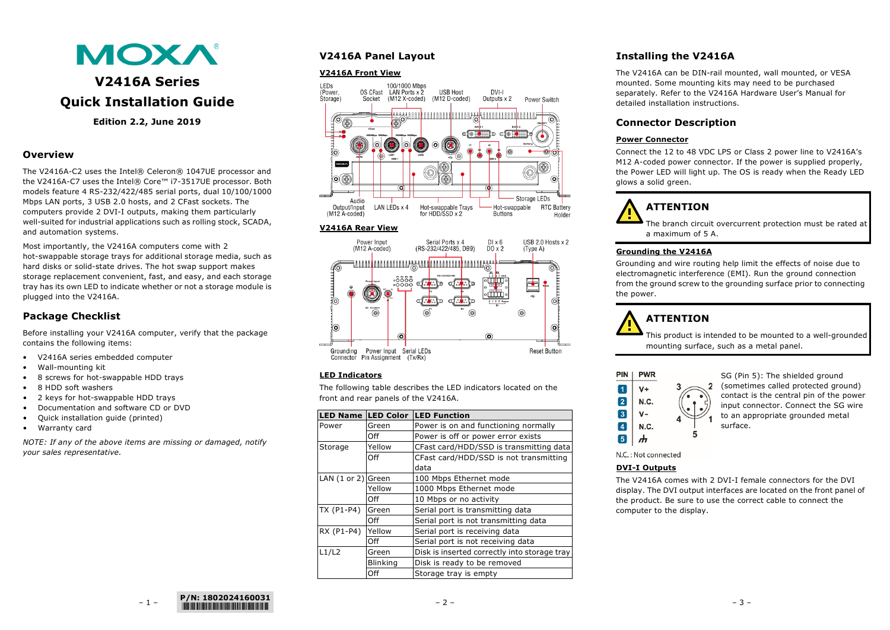

# **V2416A Series Quick Installation Guide**

**Edition 2.2, June 2019**

## **Overview**

The V2416A-C2 uses the Intel® Celeron® 1047UE processor and the V2416A-C7 uses the Intel® Core™ i7-3517UE processor. Both models feature 4 RS-232/422/485 serial ports, dual 10/100/1000 Mbps LAN ports, 3 USB 2.0 hosts, and 2 CFast sockets. The computers provide 2 DVI-I outputs, making them particularly well-suited for industrial applications such as rolling stock, SCADA, and automation systems.

Most importantly, the V2416A computers come with 2 hot-swappable storage trays for additional storage media, such as hard disks or solid-state drives. The hot swap support makes storage replacement convenient, fast, and easy, and each storage tray has its own LED to indicate whether or not a storage module is plugged into the V2416A.

# **Package Checklist**

Before installing your V2416A computer, verify that the package contains the following items:

- V2416A series embedded computer
- Wall-mounting kit
- 8 screws for hot-swappable HDD trays
- 8 HDD soft washers
- 2 keys for hot-swappable HDD trays
- Documentation and software CD or DVD
- Quick installation guide (printed)
- Warranty card

*NOTE: If any of the above items are missing or damaged, notify your sales representative.*

# **V2416A Panel Layout**

#### **V2416A Front View**



#### **V2416A Rear View**



## **LED Indicators**

The following table describes the LED indicators located on the front and rear panels of the V2416A.

| <b>LED Name</b>      | <b>LED Color</b> | <b>LED Function</b>                          |
|----------------------|------------------|----------------------------------------------|
| Power                | Green            | Power is on and functioning normally         |
|                      | Off              | Power is off or power error exists           |
| Storage              | Yellow           | CFast card/HDD/SSD is transmitting data      |
|                      | Off              | CFast card/HDD/SSD is not transmitting       |
|                      |                  | data                                         |
| LAN $(1$ or 2) Green |                  | 100 Mbps Ethernet mode                       |
|                      | Yellow           | 1000 Mbps Ethernet mode                      |
|                      | Off              | 10 Mbps or no activity                       |
| TX (P1-P4)           | Green            | Serial port is transmitting data             |
|                      | Off              | Serial port is not transmitting data         |
| RX (P1-P4)           | Yellow           | Serial port is receiving data                |
|                      | Off              | Serial port is not receiving data            |
| L1/L2                | Green            | Disk is inserted correctly into storage tray |
|                      | <b>Blinking</b>  | Disk is ready to be removed                  |
|                      | Off              | Storage tray is empty                        |

# **Installing the V2416A**

The V2416A can be DIN-rail mounted, wall mounted, or VESA mounted. Some mounting kits may need to be purchased separately. Refer to the V2416A Hardware User's Manual for detailed installation instructions.

# **Connector Description**

## **Power Connector**

Connect the 12 to 48 VDC LPS or Class 2 power line to V2416A's M12 A-coded power connector. If the power is supplied properly, the Power LED will light up. The OS is ready when the Ready LED glows a solid green.



The branch circuit overcurrent protection must be rated at a maximum of 5 A.

## **Grounding the V2416A**

Grounding and wire routing help limit the effects of noise due to electromagnetic interference (EMI). Run the ground connection from the ground screw to the grounding surface prior to connecting the power.

 $\overline{2}$ 

# **ATTENTION**

This product is intended to be mounted to a well-grounded mounting surface, such as a metal panel.



SG (Pin 5): The shielded ground (sometimes called protected ground) contact is the central pin of the power input connector. Connect the SG wire to an appropriate grounded metal surface.

N.C.: Not connected

## **DVI-I Outputs**

The V2416A comes with 2 DVI-I female connectors for the DVI display. The DVI output interfaces are located on the front panel of the product. Be sure to use the correct cable to connect the computer to the display.